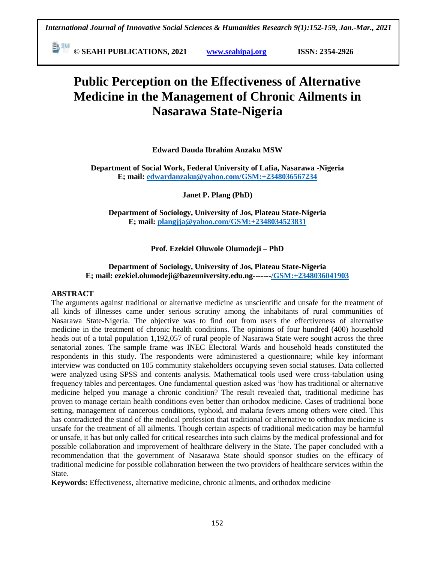**E** <sup>[64]</sup> © SEAHI PUBLICATIONS, 2021 *www.seahipaj.org* **ISSN: 2354-2926** 

# **Public Perception on the Effectiveness of Alternative Medicine in the Management of Chronic Ailments in Nasarawa State-Nigeria**

**Edward Dauda Ibrahim Anzaku MSW**

**Department of Social Work, Federal University of Lafia, Nasarawa -Nigeria E; mail: [edwardanzaku@yahoo.com/GSM:+2348036567234](mailto:edwardanzaku@yahoo.com/GSM:+2348036567234)**

**Janet P. Plang (PhD)**

**Department of Sociology, University of Jos, Plateau State-Nigeria E; mail: [plangjja@yahoo.com/GSM:+2348034523831](mailto:plangjja@yahoo.com/GSM:+2348034523831)**

# **Prof. Ezekiel Oluwole Olumodeji – PhD**

# **Department of Sociology, University of Jos, Plateau State-Nigeria E; mail: ezekiel.olumodeji@bazeuniversity.edu.ng------[-/GSM:+2348036041](mailto:edwardanzaku@yahoo.com/GSM:+2348036567234)903**

#### **ABSTRACT**

The arguments against traditional or alternative medicine as unscientific and unsafe for the treatment of all kinds of illnesses came under serious scrutiny among the inhabitants of rural communities of Nasarawa State-Nigeria. The objective was to find out from users the effectiveness of alternative medicine in the treatment of chronic health conditions. The opinions of four hundred (400) household heads out of a total population 1,192,057 of rural people of Nasarawa State were sought across the three senatorial zones. The sample frame was INEC Electoral Wards and household heads constituted the respondents in this study. The respondents were administered a questionnaire; while key informant interview was conducted on 105 community stakeholders occupying seven social statuses. Data collected were analyzed using SPSS and contents analysis. Mathematical tools used were cross-tabulation using frequency tables and percentages. One fundamental question asked was "how has traditional or alternative medicine helped you manage a chronic condition? The result revealed that, traditional medicine has proven to manage certain health conditions even better than orthodox medicine. Cases of traditional bone setting, management of cancerous conditions, typhoid, and malaria fevers among others were cited. This has contradicted the stand of the medical profession that traditional or alternative to orthodox medicine is unsafe for the treatment of all ailments. Though certain aspects of traditional medication may be harmful or unsafe, it has but only called for critical researches into such claims by the medical professional and for possible collaboration and improvement of healthcare delivery in the State. The paper concluded with a recommendation that the government of Nasarawa State should sponsor studies on the efficacy of traditional medicine for possible collaboration between the two providers of healthcare services within the State.

**Keywords:** Effectiveness, alternative medicine, chronic ailments, and orthodox medicine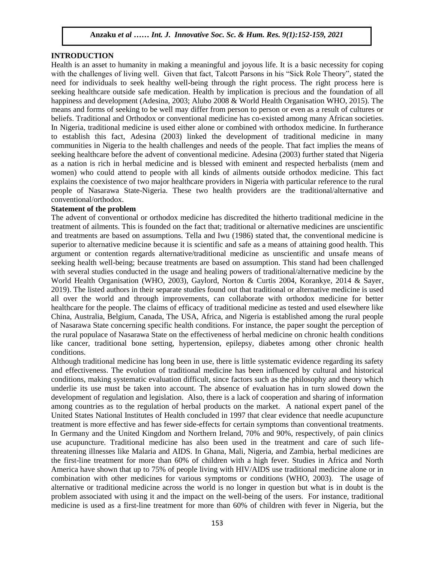### **INTRODUCTION**

Health is an asset to humanity in making a meaningful and joyous life. It is a basic necessity for coping with the challenges of living well. Given that fact, Talcott Parsons in his "Sick Role Theory", stated the need for individuals to seek healthy well-being through the right process. The right process here is seeking healthcare outside safe medication. Health by implication is precious and the foundation of all happiness and development (Adesina, 2003; Alubo 2008 & World Health Organisation WHO, 2015). The means and forms of seeking to be well may differ from person to person or even as a result of cultures or beliefs. Traditional and Orthodox or conventional medicine has co-existed among many African societies. In Nigeria, traditional medicine is used either alone or combined with orthodox medicine. In furtherance to establish this fact, Adesina (2003) linked the development of traditional medicine in many communities in Nigeria to the health challenges and needs of the people. That fact implies the means of seeking healthcare before the advent of conventional medicine. Adesina (2003) further stated that Nigeria as a nation is rich in herbal medicine and is blessed with eminent and respected herbalists (mem and women) who could attend to people with all kinds of ailments outside orthodox medicine. This fact explains the coexistence of two major healthcare providers in Nigeria with particular reference to the rural people of Nasarawa State-Nigeria. These two health providers are the traditional/alternative and conventional/orthodox.

#### **Statement of the problem**

The advent of conventional or orthodox medicine has discredited the hitherto traditional medicine in the treatment of ailments. This is founded on the fact that; traditional or alternative medicines are unscientific and treatments are based on assumptions. Tella and Iwu (1986) stated that, the conventional medicine is superior to alternative medicine because it is scientific and safe as a means of attaining good health. This argument or contention regards alternative/traditional medicine as unscientific and unsafe means of seeking health well-being; because treatments are based on assumption. This stand had been challenged with several studies conducted in the usage and healing powers of traditional/alternative medicine by the World Health Organisation (WHO, 2003), Gaylord, Norton & Curtis 2004, Korankye, 2014 & Sayer, 2019). The listed authors in their separate studies found out that traditional or alternative medicine is used all over the world and through improvements, can collaborate with orthodox medicine for better healthcare for the people. The claims of efficacy of traditional medicine as tested and used elsewhere like China, Australia, Belgium, Canada, The USA, Africa, and Nigeria is established among the rural people of Nasarawa State concerning specific health conditions. For instance, the paper sought the perception of the rural populace of Nasarawa State on the effectiveness of herbal medicine on chronic health conditions like cancer, traditional bone setting, hypertension, epilepsy, diabetes among other chronic health conditions.

Although traditional medicine has long been in use, there is little systematic evidence regarding its safety and effectiveness. The evolution of traditional medicine has been influenced by cultural and historical conditions, making systematic evaluation difficult, since factors such as the philosophy and theory which underlie its use must be taken into account. The absence of evaluation has in turn slowed down the development of regulation and legislation. Also, there is a lack of cooperation and sharing of information among countries as to the regulation of herbal products on the market. A national expert panel of the United States National Institutes of Health concluded in 1997 that clear evidence that needle acupuncture treatment is more effective and has fewer side-effects for certain symptoms than conventional treatments. In Germany and the United Kingdom and Northern Ireland, 70% and 90%, respectively, of pain clinics use acupuncture. Traditional medicine has also been used in the treatment and care of such lifethreatening illnesses like Malaria and AIDS. In Ghana, Mali, Nigeria, and Zambia, herbal medicines are the first-line treatment for more than 60% of children with a high fever. Studies in Africa and North America have shown that up to 75% of people living with HIV/AIDS use traditional medicine alone or in combination with other medicines for various symptoms or conditions (WHO, 2003). The usage of alternative or traditional medicine across the world is no longer in question but what is in doubt is the problem associated with using it and the impact on the well-being of the users. For instance, traditional medicine is used as a first-line treatment for more than 60% of children with fever in Nigeria, but the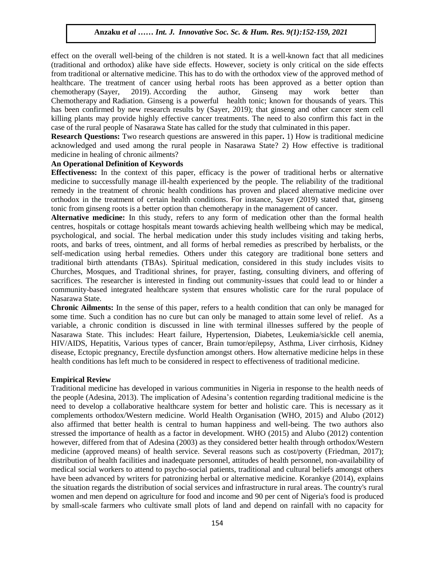effect on the overall well-being of the children is not stated. It is a well-known fact that all medicines (traditional and orthodox) alike have side effects. However, society is only critical on the side effects from traditional or alternative medicine. This has to do with the orthodox view of the approved method of healthcare. The treatment of cancer using herbal roots has been approved as a better option than chemotherapy (Sayer, 2019). According the author, Ginseng may work better than Chemotherapy and Radiation. Ginseng is a powerful health tonic; known for thousands of years. This has been confirmed by new research results by (Sayer, 2019); that ginseng and other cancer stem cell killing plants may provide highly effective cancer treatments. The need to also confirm this fact in the case of the rural people of Nasarawa State has called for the study that culminated in this paper.

**Research Questions:** Two research questions are answered in this paper**.** 1) How is traditional medicine acknowledged and used among the rural people in Nasarawa State? 2) How effective is traditional medicine in healing of chronic ailments?

#### **An Operational Definition of Keywords**

**Effectiveness:** In the context of this paper, efficacy is the power of traditional herbs or alternative medicine to successfully manage ill-health experienced by the people. The reliability of the traditional remedy in the treatment of chronic health conditions has proven and placed alternative medicine over orthodox in the treatment of certain health conditions. For instance, Sayer (2019) stated that, ginseng tonic from ginseng roots is a better option than chemotherapy in the management of cancer.

**Alternative medicine:** In this study, refers to any form of medication other than the formal health centres, hospitals or cottage hospitals meant towards achieving health wellbeing which may be medical, psychological, and social. The herbal medication under this study includes visiting and taking herbs, roots, and barks of trees, ointment, and all forms of herbal remedies as prescribed by herbalists, or the self-medication using herbal remedies. Others under this category are traditional bone setters and traditional birth attendants (TBAs). Spiritual medication, considered in this study includes visits to Churches, Mosques, and Traditional shrines, for prayer, fasting, consulting diviners, and offering of sacrifices. The researcher is interested in finding out community-issues that could lead to or hinder a community-based integrated healthcare system that ensures wholistic care for the rural populace of Nasarawa State.

**Chronic Ailments:** In the sense of this paper, refers to a health condition that can only be managed for some time. Such a condition has no cure but can only be managed to attain some level of relief. As a variable, a chronic condition is discussed in line with terminal illnesses suffered by the people of Nasarawa State. This includes: Heart failure, Hypertension, Diabetes, Leukemia/sickle cell anemia, HIV/AIDS, Hepatitis, Various types of cancer, Brain tumor/epilepsy, Asthma, Liver cirrhosis, Kidney disease, Ectopic pregnancy, Erectile dysfunction amongst others. How alternative medicine helps in these health conditions has left much to be considered in respect to effectiveness of traditional medicine.

### **Empirical Review**

Traditional medicine has developed in various communities in Nigeria in response to the health needs of the people (Adesina, 2013). The implication of Adesina"s contention regarding traditional medicine is the need to develop a collaborative healthcare system for better and holistic care. This is necessary as it complements orthodox/Western medicine. World Health Organisation (WHO, 2015) and Alubo (2012) also affirmed that better health is central to human happiness and well-being. The two authors also stressed the importance of health as a factor in development. WHO (2015) and Alubo (2012) contention however, differed from that of Adesina (2003) as they considered better health through orthodox/Western medicine (approved means) of health service. Several reasons such as cost/poverty [\(Friedman,](http://www.oneillinstituteblog.org/author/eric-f/) 2017); distribution of health facilities and inadequate personnel, attitudes of health personnel, non-availability of medical social workers to attend to psycho-social patients, traditional and cultural beliefs amongst others have been advanced by writers for patronizing herbal or alternative medicine. Korankye (2014), explains the situation regards the distribution of social services and infrastructure in rural areas. The country's rural women and men depend on agriculture for food and income and 90 per cent of Nigeria's food is produced by small-scale farmers who cultivate small plots of land and depend on rainfall with no capacity for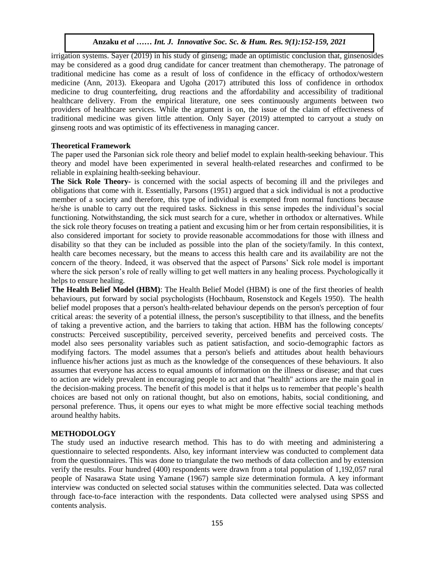irrigation systems. Sayer (2019) in his study of ginseng; made an optimistic conclusion that, ginsenosides may be considered as a good drug candidate for cancer treatment than chemotherapy. The patronage of traditional medicine has come as a result of loss of confidence in the efficacy of orthodox/western medicine (Ann, 2013). Ekeopara and Ugoha (2017) attributed this loss of confidence in orthodox medicine to drug counterfeiting, drug reactions and the affordability and accessibility of traditional healthcare delivery. From the empirical literature, one sees continuously arguments between two providers of healthcare services. While the argument is on, the issue of the claim of effectiveness of traditional medicine was given little attention. Only Sayer (2019) attempted to carryout a study on ginseng roots and was optimistic of its effectiveness in managing cancer.

## **Theoretical Framework**

The paper used the Parsonian sick role theory and belief model to explain health-seeking behaviour. This theory and model have been experimented in several health-related researches and confirmed to be reliable in explaining health-seeking behaviour.

**The Sick Role Theory-** is concerned with the social aspects of becoming ill and the privileges and obligations that come with it. Essentially, Parsons (1951) argued that a sick individual is not a productive member of a society and therefore, this type of individual is exempted from normal functions because he/she is unable to carry out the required tasks. Sickness in this sense impedes the individual"s social functioning. Notwithstanding, the sick must search for a cure, whether in orthodox or alternatives. While the sick role theory focuses on treating a patient and excusing him or her from certain responsibilities, it is also considered important for society to provide reasonable accommodations for those with illness and disability so that they can be included as possible into the plan of the society/family. In this context, health care becomes necessary, but the means to access this health care and its availability are not the concern of the theory. Indeed, it was observed that the aspect of Parsons" Sick role model is important where the sick person's role of really willing to get well matters in any healing process. Psychologically it helps to ensure healing.

**The Health Belief Model (HBM)**: The Health Belief Model (HBM) is one of the first theories of health behaviours, put forward by social psychologists (Hochbaum, Rosenstock and Kegels 1950). The health belief model proposes that a person's health-related behaviour depends on the person's perception of four critical areas: the severity of a potential illness, the person's susceptibility to that illness, and the benefits of taking a preventive action, and the barriers to taking that action. HBM has the following concepts/ constructs: Perceived susceptibility, perceived severity, perceived benefits and perceived costs. The model also sees personality variables such as patient satisfaction, and socio-demographic factors as modifying factors. The model assumes that a person's beliefs and attitudes about health behaviours influence his/her actions just as much as the knowledge of the consequences of these behaviours. It also assumes that everyone has access to equal amounts of information on the illness or disease; and that cues to action are widely prevalent in encouraging people to act and that "health" actions are the main goal in the decision-making process. The benefit of this model is that it helps us to remember that people"s health choices are based not only on rational thought, but also on emotions, habits, social conditioning, and personal preference. Thus, it opens our eyes to what might be more effective social teaching methods around healthy habits.

# **METHODOLOGY**

The study used an inductive research method. This has to do with meeting and administering a questionnaire to selected respondents. Also, key informant interview was conducted to complement data from the questionnaires. This was done to triangulate the two methods of data collection and by extension verify the results. Four hundred (400) respondents were drawn from a total population of 1,192,057 rural people of Nasarawa State using Yamane (1967) sample size determination formula. A key informant interview was conducted on selected social statuses within the communities selected. Data was collected through face-to-face interaction with the respondents. Data collected were analysed using SPSS and contents analysis.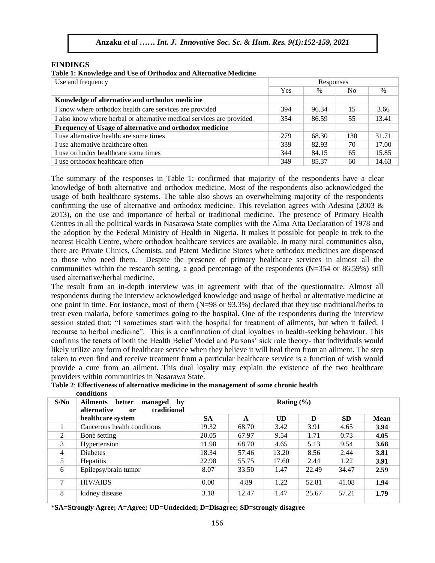## **FINDINGS**

#### **Table 1: Knowledge and Use of Orthodox and Alternative Medicine**

| Use and frequency                                                     | Responses |       |                |       |
|-----------------------------------------------------------------------|-----------|-------|----------------|-------|
|                                                                       | Yes       | $\%$  | N <sub>0</sub> | $\%$  |
| Knowledge of alternative and orthodox medicine                        |           |       |                |       |
| I know where orthodox health care services are provided               | 394       | 96.34 | 15             | 3.66  |
| I also know where herbal or alternative medical services are provided |           | 86.59 | 55             | 13.41 |
| Frequency of Usage of alternative and orthodox medicine               |           |       |                |       |
| I use alternative healthcare some times                               | 279       | 68.30 | 130            | 31.71 |
| I use alternative healthcare often                                    | 339       | 82.93 | 70             | 17.00 |
| I use orthodox healthcare some times                                  | 344       | 84.15 | 65             | 15.85 |
| I use orthodox healthcare often                                       | 349       | 85.37 | 60             | 14.63 |

The summary of the responses in Table 1; confirmed that majority of the respondents have a clear knowledge of both alternative and orthodox medicine. Most of the respondents also acknowledged the usage of both healthcare systems. The table also shows an overwhelming majority of the respondents confirming the use of alternative and orthodox medicine. This revelation agrees with Adesina (2003 & 2013), on the use and importance of herbal or traditional medicine. The presence of Primary Health Centres in all the political wards in Nasarawa State complies with the Alma Atta Declaration of 1978 and the adoption by the Federal Ministry of Health in Nigeria. It makes it possible for people to trek to the nearest Health Centre, where orthodox healthcare services are available. In many rural communities also, there are Private Clinics, Chemists, and Patent Medicine Stores where orthodox medicines are dispensed to those who need them. Despite the presence of primary healthcare services in almost all the communities within the research setting, a good percentage of the respondents (N=354 or 86.59%) still used alternative/herbal medicine.

The result from an in-depth interview was in agreement with that of the questionnaire. Almost all respondents during the interview acknowledged knowledge and usage of herbal or alternative medicine at one point in time. For instance, most of them (N=98 or 93.3%) declared that they use traditional/herbs to treat even malaria, before sometimes going to the hospital. One of the respondents during the interview session stated that: "I sometimes start with the hospital for treatment of ailments, but when it failed, I recourse to herbal medicine". This is a confirmation of dual loyalties in health-seeking behaviour. This confirms the tenets of both the Health Belief Model and Parsons" sick role theory- that individuals would likely utilize any form of healthcare service when they believe it will heal them from an ailment. The step taken to even find and receive treatment from a particular healthcare service is a function of wish would provide a cure from an ailment. This dual loyalty may explain the existence of the two healthcare providers within communities in Nasarawa State.

| S/No           | <b>Ailments</b><br>better<br>managed<br>by<br>traditional<br><b>alternative</b><br><sub>or</sub> | Rating $(\% )$ |       |           |       |           |      |  |
|----------------|--------------------------------------------------------------------------------------------------|----------------|-------|-----------|-------|-----------|------|--|
|                | healthcare system                                                                                | <b>SA</b>      | A     | <b>UD</b> | D     | <b>SD</b> | Mean |  |
|                | Cancerous health conditions                                                                      | 19.32          | 68.70 | 3.42      | 3.91  | 4.65      | 3.94 |  |
| 2              | Bone setting                                                                                     | 20.05          | 67.97 | 9.54      | 1.71  | 0.73      | 4.05 |  |
| 3              | Hypertension                                                                                     | 11.98          | 68.70 | 4.65      | 5.13  | 9.54      | 3.68 |  |
| $\overline{4}$ | <b>Diabetes</b>                                                                                  | 18.34          | 57.46 | 13.20     | 8.56  | 2.44      | 3.81 |  |
| 5.             | <b>Hepatitis</b>                                                                                 | 22.98          | 55.75 | 17.60     | 2.44  | 1.22      | 3.91 |  |
| 6              | Epilepsy/brain tumor                                                                             | 8.07           | 33.50 | 1.47      | 22.49 | 34.47     | 2.59 |  |
| 7              | <b>HIV/AIDS</b>                                                                                  | 0.00           | 4.89  | 1.22      | 52.81 | 41.08     | 1.94 |  |
| 8              | kidney disease                                                                                   | 3.18           | 12.47 | 1.47      | 25.67 | 57.21     | 1.79 |  |

#### **Table 2**: **Effectiveness of alternative medicine in the management of some chronic health conditions**

\***SA=Strongly Agree; A=Agree; UD=Undecided; D=Disagree; SD=strongly disagree**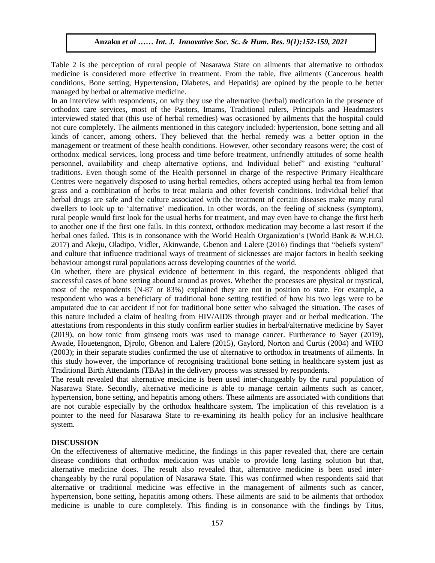Table 2 is the perception of rural people of Nasarawa State on ailments that alternative to orthodox medicine is considered more effective in treatment. From the table, five ailments (Cancerous health conditions, Bone setting, Hypertension, Diabetes, and Hepatitis) are opined by the people to be better managed by herbal or alternative medicine.

In an interview with respondents, on why they use the alternative (herbal) medication in the presence of orthodox care services, most of the Pastors, Imams, Traditional rulers, Principals and Headmasters interviewed stated that (this use of herbal remedies) was occasioned by ailments that the hospital could not cure completely. The ailments mentioned in this category included: hypertension, bone setting and all kinds of cancer, among others. They believed that the herbal remedy was a better option in the management or treatment of these health conditions. However, other secondary reasons were; the cost of orthodox medical services, long process and time before treatment, unfriendly attitudes of some health personnel, availability and cheap alternative options, and Individual belief" and existing "cultural" traditions. Even though some of the Health personnel in charge of the respective Primary Healthcare Centres were negatively disposed to using herbal remedies, others accepted using herbal tea from lemon grass and a combination of herbs to treat malaria and other feverish conditions. Individual belief that herbal drugs are safe and the culture associated with the treatment of certain diseases make many rural dwellers to look up to "alternative" medication. In other words, on the feeling of sickness (symptom), rural people would first look for the usual herbs for treatment, and may even have to change the first herb to another one if the first one fails. In this context, orthodox medication may become a last resort if the herbal ones failed. This is in consonance with the World Health Organization's (World Bank & W.H.O. 2017) and Akeju, Oladipo, Vidler, Akinwande, Gbenon and Lalere (2016) findings that "beliefs system" and culture that influence traditional ways of treatment of sicknesses are major factors in health seeking behaviour amongst rural populations across developing countries of the world.

On whether, there are physical evidence of betterment in this regard, the respondents obliged that successful cases of bone setting abound around as proves. Whether the processes are physical or mystical, most of the respondents (N-87 or 83%) explained they are not in position to state. For example, a respondent who was a beneficiary of traditional bone setting testified of how his two legs were to be amputated due to car accident if not for traditional bone setter who salvaged the situation. The cases of this nature included a claim of healing from HIV/AIDS through prayer and or herbal medication. The attestations from respondents in this study confirm earlier studies in herbal/alternative medicine by Sayer (2019), on how tonic from ginseng roots was used to manage cancer. Furtherance to Sayer (2019), Awade, Houetengnon, Djrolo, Gbenon and Lalere (2015), Gaylord, Norton and Curtis (2004) and WHO (2003); in their separate studies confirmed the use of alternative to orthodox in treatments of ailments. In this study however, the importance of recognising traditional bone setting in healthcare system just as Traditional Birth Attendants (TBAs) in the delivery process was stressed by respondents.

The result revealed that alternative medicine is been used inter-changeably by the rural population of Nasarawa State. Secondly, alternative medicine is able to manage certain ailments such as cancer, hypertension, bone setting, and hepatitis among others. These ailments are associated with conditions that are not curable especially by the orthodox healthcare system. The implication of this revelation is a pointer to the need for Nasarawa State to re-examining its health policy for an inclusive healthcare system.

# **DISCUSSION**

On the effectiveness of alternative medicine, the findings in this paper revealed that, there are certain disease conditions that orthodox medication was unable to provide long lasting solution but that, alternative medicine does. The result also revealed that, alternative medicine is been used interchangeably by the rural population of Nasarawa State. This was confirmed when respondents said that alternative or traditional medicine was effective in the management of ailments such as cancer, hypertension, bone setting, hepatitis among others. These ailments are said to be ailments that orthodox medicine is unable to cure completely. This finding is in consonance with the findings by Titus,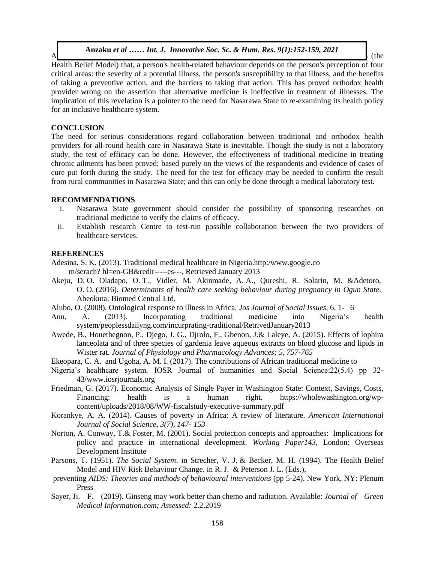A definition and Adeniyi  $\alpha$  and Adeniyi is finding a finding and health seeking  $\alpha$  finding  $\alpha$  (the **Anzaku** *et al …… Int. J. Innovative Soc. Sc. & Hum. Res. 9(1):152-159, 2021*

Health Belief Model) that, a person's health-related behaviour depends on the person's perception of four critical areas: the severity of a potential illness, the person's susceptibility to that illness, and the benefits of taking a preventive action, and the barriers to taking that action. This has proved orthodox health provider wrong on the assertion that alternative medicine is ineffective in treatment of illnesses. The implication of this revelation is a pointer to the need for Nasarawa State to re-examining its health policy for an inclusive healthcare system.

#### **CONCLUSION**

The need for serious considerations regard collaboration between traditional and orthodox health providers for all-round health care in Nasarawa State is inevitable. Though the study is not a laboratory study, the test of efficacy can be done. However, the effectiveness of traditional medicine in treating chronic ailments has been proved; based purely on the views of the respondents and evidence of cases of cure put forth during the study. The need for the test for efficacy may be needed to confirm the result from rural communities in Nasarawa State; and this can only be done through a medical laboratory test.

#### **RECOMMENDATIONS**

- i. Nasarawa State government should consider the possibility of sponsoring researches on traditional medicine to verify the claims of efficacy.
- ii. Establish research Centre to test-run possible collaboration between the two providers of healthcare services.

#### **REFERENCES**

- Adesina, S. K. (2013). Traditional medical healthcare in Nigeria.http:/www.google.co m/serach? hl=en-GB&redir-----es---, Retrieved January 2013
- Akeju, D. O. Oladapo, O. T., Vidler, M. Akinmade, A. A., Qureshi, R. Solarin, M. &Adetoro, O. O. (2016). *Determinants of health care seeking behaviour during pregnancy in Ogun State*. Abeokuta: Biomed Central Ltd.
- Alubo, O. (2008). Ontological response to illness in Africa. *Jos Journal of Social Issues*, 6, 1- 6
- Ann, A. (2013). Incorporating traditional medicine into Nigeria's health system/peoplessdailyng.com/incurprating-traditional/RetrivedJanuary2013
- Awede, B., Houethegnon, P., Djego, J. G., Djrolo, F., Gbenon, J.& Laleye, A. (2015). Effects of lophira lanceolata and of three species of gardenia leave aqueous extracts on blood glucose and lipids in Wister rat. *Journal of Physiology and Pharmacology Advances; 5, 757-765*
- Ekeopara, C. A. and Ugoha, A. M. I. (2017). The contributions of African traditional medicine to
- Nigeria's healthcare system. IOSR Journal of humanities and Social Science: 22(5.4) pp 32-43/www.iosrjournals.org
- Friedman, G. (2017). Economic Analysis of Single Payer in Washington State: Context, Savings, Costs, Financing: health is a human right. [https://wholewashington.org/wp](https://wholewashington.org/wp-content/uploads/2018/08/WW-fiscalstudy-executive-summary.pdf)[content/uploads/2018/08/WW-fiscalstudy-executive-summary.pdf](https://wholewashington.org/wp-content/uploads/2018/08/WW-fiscalstudy-executive-summary.pdf)
- Korankye, A. A. (2014). Causes of poverty in Africa: A review of literature. *American International Journal of Social Science, 3(7), 147- 153*
- Norton, A. Conway, T.& Foster, M. (2001). Social protection concepts and approaches: Implications for policy and practice in international development. *Working Paper143,* London: Overseas Development Institute
- Parsons, T. (1951). *The Social System*. in Strecher, V. J. & Becker, M. H. (1994). The Health Belief Model and HIV Risk Behaviour Change. in R. J. & Peterson J. L. (Eds.),
- preventing *AIDS: Theories and methods of behavioural interventions* (pp 5-24). New York, NY: Plenum Press
- Sayer, Ji. F. (2019). Ginseng may work better than chemo and radiation. Available: *Journal of Green Medical Information.com; Assessed:* 2.2.2019